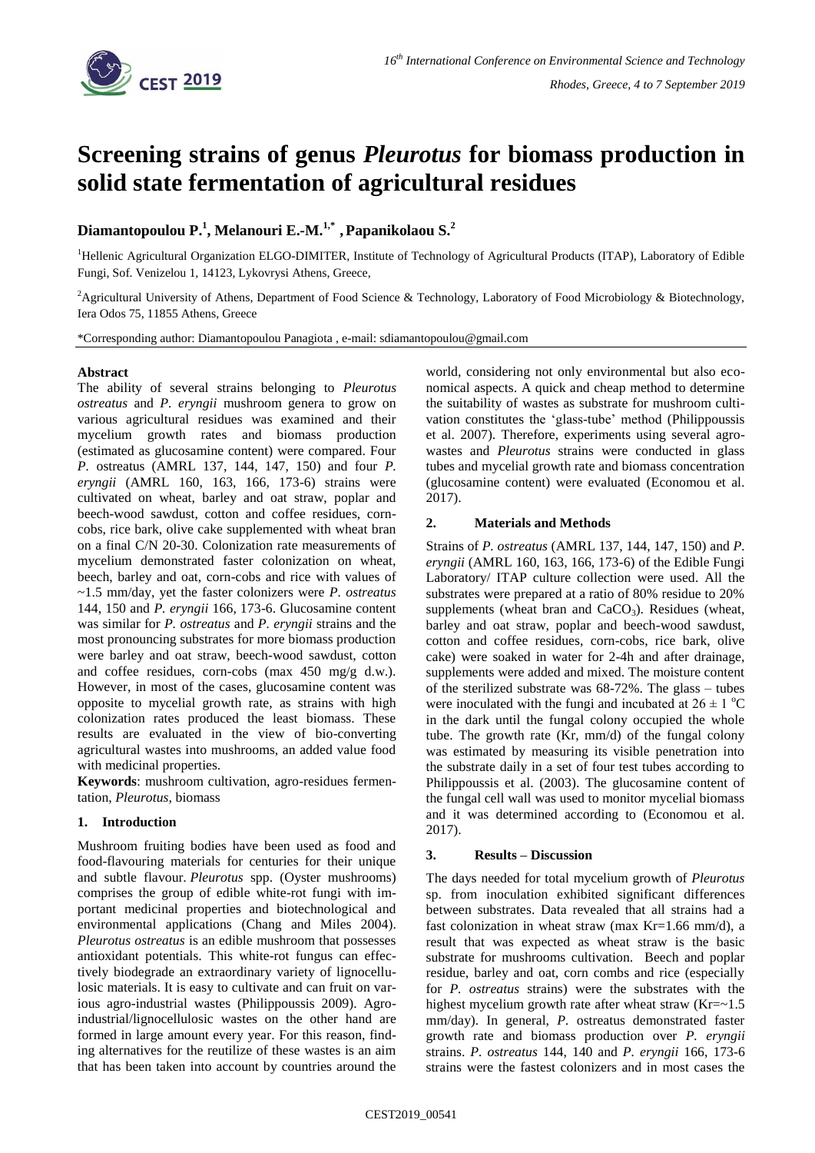

# **Screening strains of genus** *Pleurotus* **for biomass production in solid state fermentation of agricultural residues**

## **Diamantopoulou P. 1 , Melanouri E.-M.1,\* ,Papanikolaou S. 2**

<sup>1</sup>Hellenic Agricultural Organization ELGO-DIMITER, Institute of Technology of Agricultural Products (ITAP), Laboratory of Edible Fungi, Sof. Venizelou 1, 14123, Lykovrysi Athens, Greece,

<sup>2</sup>Agricultural University of Athens, Department of Food Science & Technology, Laboratory of Food Microbiology & Biotechnology, Iera Odos 75, 11855 Athens, Greece

\*Corresponding author: Diamantopoulou Panagiota , e-mail: sdiamantopoulou@gmail.com

## **Abstract**

The ability of several strains belonging to *Pleurotus ostreatus* and *P. eryngii* mushroom genera to grow on various agricultural residues was examined and their mycelium growth rates and biomass production (estimated as glucosamine content) were compared. Four *P.* ostreatus (AMRL 137, 144, 147, 150) and four *P. eryngii* (AMRL 160, 163, 166, 173-6) strains were cultivated on wheat, barley and oat straw, poplar and beech-wood sawdust, cotton and coffee residues, corncobs, rice bark, olive cake supplemented with wheat bran on a final C/N 20-30. Colonization rate measurements of mycelium demonstrated faster colonization on wheat, beech, barley and oat, corn-cobs and rice with values of ~1.5 mm/day, yet the faster colonizers were *P. ostreatus* 144, 150 and *P. eryngii* 166, 173-6. Glucosamine content was similar for *P. ostreatus* and *P. eryngii* strains and the most pronouncing substrates for more biomass production were barley and oat straw, beech-wood sawdust, cotton and coffee residues, corn-cobs (max 450 mg/g d.w.). However, in most of the cases, glucosamine content was opposite to mycelial growth rate, as strains with high colonization rates produced the least biomass. These results are evaluated in the view of bio-converting agricultural wastes into mushrooms, an added value food with medicinal properties.

**Keywords**: mushroom cultivation, agro-residues fermentation, *Pleurotus*, biomass

## **1. Introduction**

Mushroom fruiting bodies have been used as food and food-flavouring materials for centuries for their unique and subtle flavour. *Pleurotus* spp. (Oyster mushrooms) comprises the group of edible white-rot fungi with important medicinal properties and biotechnological and environmental applications (Chang and Miles 2004). *Pleurotus ostreatus* is an edible mushroom that possesses antioxidant potentials. This white-rot fungus can effectively biodegrade an extraordinary variety of lignocellulosic materials. It is easy to cultivate and can fruit on various agro-industrial wastes (Philippoussis 2009). Agroindustrial/lignocellulosic wastes on the other hand are formed in large amount every year. For this reason, finding alternatives for the reutilize of these wastes is an aim that has been taken into account by countries around the

world, considering not only environmental but also economical aspects. A quick and cheap method to determine the suitability of wastes as substrate for mushroom cultivation constitutes the 'glass-tube' method (Philippoussis et al. 2007). Therefore, experiments using several agrowastes and *Pleurotus* strains were conducted in glass tubes and mycelial growth rate and biomass concentration (glucosamine content) were evaluated (Economou et al. 2017).

## **2. Materials and Methods**

Strains of *P. ostreatus* (AMRL 137, 144, 147, 150) and *P. eryngii* (AMRL 160, 163, 166, 173-6) of the Edible Fungi Laboratory/ ITAP culture collection were used. All the substrates were prepared at a ratio of 80% residue to 20% supplements (wheat bran and CaCO<sub>3</sub>). Residues (wheat, barley and oat straw, poplar and beech-wood sawdust, cotton and coffee residues, corn-cobs, rice bark, olive cake) were soaked in water for 2-4h and after drainage, supplements were added and mixed. The moisture content of the sterilized substrate was 68-72%. The glass – tubes were inoculated with the fungi and incubated at  $26 \pm 1$  °C in the dark until the fungal colony occupied the whole tube. The growth rate (Kr, mm/d) of the fungal colony was estimated by measuring its visible penetration into the substrate daily in a set of four test tubes according to Philippoussis et al. (2003). The glucosamine content of the fungal cell wall was used to monitor mycelial biomass and it was determined according to (Economou et al. 2017).

#### **3. Results – Discussion**

The days needed for total mycelium growth of *Pleurotus* sp. from inoculation exhibited significant differences between substrates. Data revealed that all strains had a fast colonization in wheat straw (max  $Kr=1.66$  mm/d), a result that was expected as wheat straw is the basic substrate for mushrooms cultivation. Beech and poplar residue, barley and oat, corn combs and rice (especially for *P. ostreatus* strains) were the substrates with the highest mycelium growth rate after wheat straw  $(Kr=-1.5)$ mm/day). In general, *P.* ostreatus demonstrated faster growth rate and biomass production over *P. eryngii* strains. *P. ostreatus* 144, 140 and *P. eryngii* 166, 173-6 strains were the fastest colonizers and in most cases the